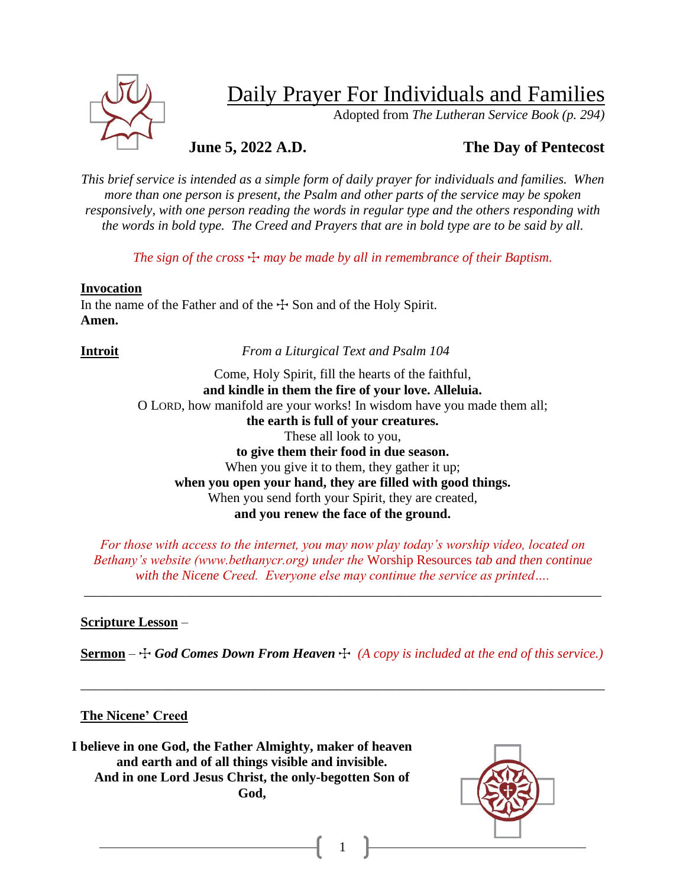

## Daily Prayer For Individuals and Families

Adopted from *The Lutheran Service Book (p. 294)*

## **June 5, 2022 A.D. The Day of Pentecost**

*This brief service is intended as a simple form of daily prayer for individuals and families. When more than one person is present, the Psalm and other parts of the service may be spoken responsively, with one person reading the words in regular type and the others responding with the words in bold type. The Creed and Prayers that are in bold type are to be said by all.*

*The sign of the cross*  $\pm$  *may be made by all in remembrance of their Baptism.* 

#### **Invocation**

In the name of the Father and of the  $\pm$  Son and of the Holy Spirit. **Amen.**

**Introit** *From a Liturgical Text and Psalm 104* 

Come, Holy Spirit, fill the hearts of the faithful, **and kindle in them the fire of your love. Alleluia.** O LORD, how manifold are your works! In wisdom have you made them all; **the earth is full of your creatures.** These all look to you, **to give them their food in due season.** When you give it to them, they gather it up; **when you open your hand, they are filled with good things.** When you send forth your Spirit, they are created, **and you renew the face of the ground.**

*For those with access to the internet, you may now play today's worship video, located on Bethany's website (www.bethanycr.org) under the* Worship Resources *tab and then continue with the Nicene Creed. Everyone else may continue the service as printed….*

\_\_\_\_\_\_\_\_\_\_\_\_\_\_\_\_\_\_\_\_\_\_\_\_\_\_\_\_\_\_\_\_\_\_\_\_\_\_\_\_\_\_\_\_\_\_\_\_\_\_\_\_\_\_\_\_\_\_\_\_\_\_\_\_\_\_\_\_\_\_\_\_\_\_\_\_\_

### **Scripture Lesson** –

**<u>Sermon</u>** –  $\div$  *God Comes Down From Heaven*  $\div$  *(A copy is included at the end of this service.)* 

\_\_\_\_\_\_\_\_\_\_\_\_\_\_\_\_\_\_\_\_\_\_\_\_\_\_\_\_\_\_\_\_\_\_\_\_\_\_\_\_\_\_\_\_\_\_\_\_\_\_\_\_\_\_\_\_\_\_\_\_\_\_\_\_\_\_\_\_\_\_\_\_\_\_\_\_\_\_

1

### **The Nicene' Creed**

**I believe in one God, the Father Almighty, maker of heaven and earth and of all things visible and invisible. And in one Lord Jesus Christ, the only-begotten Son of God,**

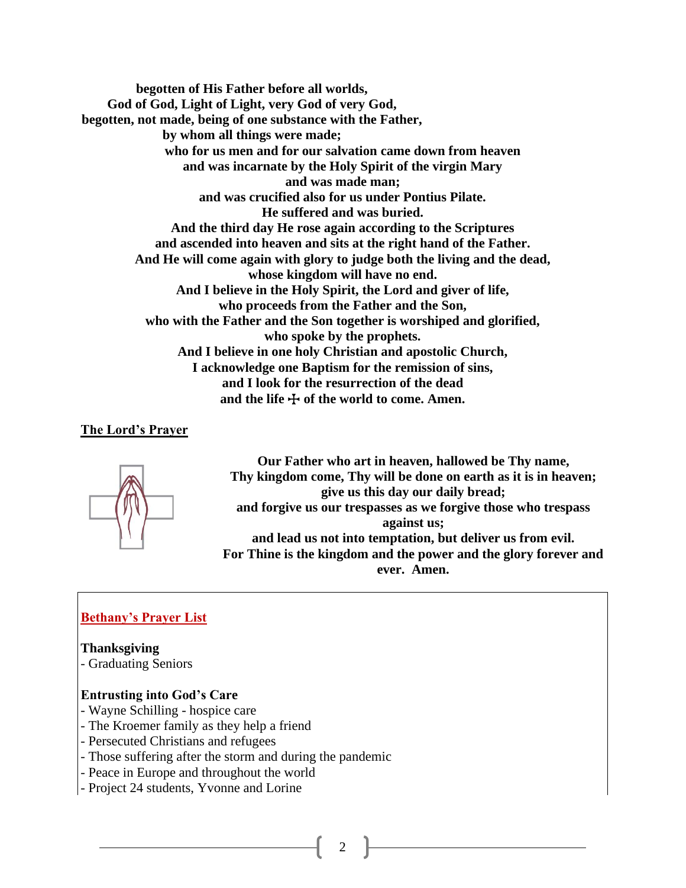**begotten of His Father before all worlds, God of God, Light of Light, very God of very God, begotten, not made, being of one substance with the Father, by whom all things were made; who for us men and for our salvation came down from heaven and was incarnate by the Holy Spirit of the virgin Mary and was made man; and was crucified also for us under Pontius Pilate. He suffered and was buried. And the third day He rose again according to the Scriptures and ascended into heaven and sits at the right hand of the Father. And He will come again with glory to judge both the living and the dead, whose kingdom will have no end. And I believe in the Holy Spirit, the Lord and giver of life, who proceeds from the Father and the Son, who with the Father and the Son together is worshiped and glorified, who spoke by the prophets. And I believe in one holy Christian and apostolic Church, I acknowledge one Baptism for the remission of sins, and I look for the resurrection of the dead** and the life  $\div$  of the world to come. Amen.

#### **The Lord's Prayer**



**Our Father who art in heaven, hallowed be Thy name, Thy kingdom come, Thy will be done on earth as it is in heaven; give us this day our daily bread; and forgive us our trespasses as we forgive those who trespass against us; and lead us not into temptation, but deliver us from evil. For Thine is the kingdom and the power and the glory forever and ever. Amen.**

#### **Bethany's Prayer List**

**Thanksgiving**

- Graduating Seniors

#### **Entrusting into God's Care**

- Wayne Schilling hospice care
- The Kroemer family as they help a friend
- Persecuted Christians and refugees
- Those suffering after the storm and during the pandemic
- Peace in Europe and throughout the world
- Project 24 students, Yvonne and Lorine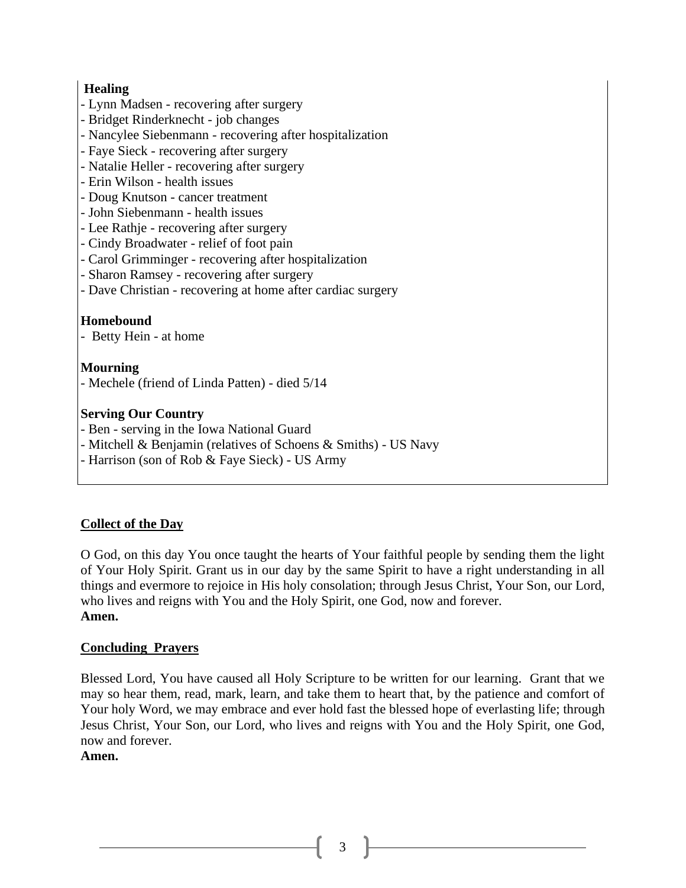### **Healing**

- Lynn Madsen recovering after surgery
- Bridget Rinderknecht job changes
- Nancylee Siebenmann recovering after hospitalization
- Faye Sieck recovering after surgery
- Natalie Heller recovering after surgery
- Erin Wilson health issues
- Doug Knutson cancer treatment
- John Siebenmann health issues
- Lee Rathje recovering after surgery
- Cindy Broadwater relief of foot pain
- Carol Grimminger recovering after hospitalization
- Sharon Ramsey recovering after surgery
- Dave Christian recovering at home after cardiac surgery

### **Homebound**

- Betty Hein - at home

#### **Mourning**

- Mechele (friend of Linda Patten) - died 5/14

### **Serving Our Country**

- Ben serving in the Iowa National Guard
- Mitchell & Benjamin (relatives of Schoens & Smiths) US Navy
- Harrison (son of Rob & Faye Sieck) US Army

### **Collect of the Day**

O God, on this day You once taught the hearts of Your faithful people by sending them the light of Your Holy Spirit. Grant us in our day by the same Spirit to have a right understanding in all things and evermore to rejoice in His holy consolation; through Jesus Christ, Your Son, our Lord, who lives and reigns with You and the Holy Spirit, one God, now and forever. **Amen.**

### **Concluding Prayers**

Blessed Lord, You have caused all Holy Scripture to be written for our learning. Grant that we may so hear them, read, mark, learn, and take them to heart that, by the patience and comfort of Your holy Word, we may embrace and ever hold fast the blessed hope of everlasting life; through Jesus Christ, Your Son, our Lord, who lives and reigns with You and the Holy Spirit, one God, now and forever.

#### **Amen.**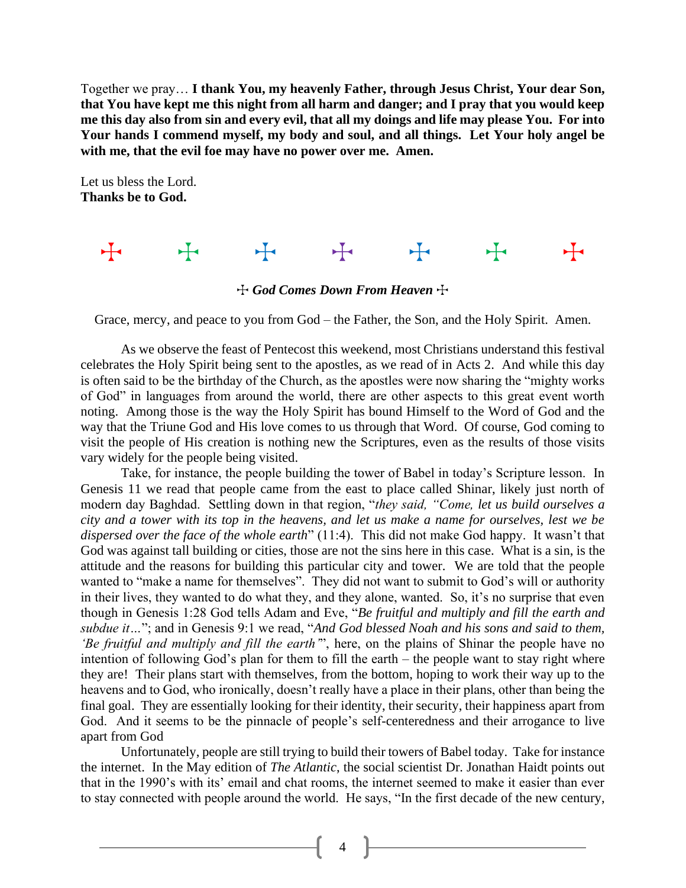Together we pray… **I thank You, my heavenly Father, through Jesus Christ, Your dear Son, that You have kept me this night from all harm and danger; and I pray that you would keep me this day also from sin and every evil, that all my doings and life may please You. For into Your hands I commend myself, my body and soul, and all things. Let Your holy angel be with me, that the evil foe may have no power over me. Amen.**

Let us bless the Lord. **Thanks be to God.**

# + + + + + +

**The God Comes Down From Heaven** +

Grace, mercy, and peace to you from God – the Father, the Son, and the Holy Spirit. Amen.

As we observe the feast of Pentecost this weekend, most Christians understand this festival celebrates the Holy Spirit being sent to the apostles, as we read of in Acts 2. And while this day is often said to be the birthday of the Church, as the apostles were now sharing the "mighty works of God" in languages from around the world, there are other aspects to this great event worth noting. Among those is the way the Holy Spirit has bound Himself to the Word of God and the way that the Triune God and His love comes to us through that Word. Of course, God coming to visit the people of His creation is nothing new the Scriptures, even as the results of those visits vary widely for the people being visited.

Take, for instance, the people building the tower of Babel in today's Scripture lesson. In Genesis 11 we read that people came from the east to place called Shinar, likely just north of modern day Baghdad. Settling down in that region, "*they said, "Come, let us build ourselves a city and a tower with its top in the heavens, and let us make a name for ourselves, lest we be dispersed over the face of the whole earth*" (11:4). This did not make God happy. It wasn't that God was against tall building or cities, those are not the sins here in this case. What is a sin, is the attitude and the reasons for building this particular city and tower. We are told that the people wanted to "make a name for themselves". They did not want to submit to God's will or authority in their lives, they wanted to do what they, and they alone, wanted. So, it's no surprise that even though in Genesis 1:28 God tells Adam and Eve, "*Be fruitful and multiply and fill the earth and subdue it…*"; and in Genesis 9:1 we read, "*And God blessed Noah and his sons and said to them, 'Be fruitful and multiply and fill the earth'*", here, on the plains of Shinar the people have no intention of following God's plan for them to fill the earth – the people want to stay right where they are! Their plans start with themselves, from the bottom, hoping to work their way up to the heavens and to God, who ironically, doesn't really have a place in their plans, other than being the final goal. They are essentially looking for their identity, their security, their happiness apart from God. And it seems to be the pinnacle of people's self-centeredness and their arrogance to live apart from God

Unfortunately, people are still trying to build their towers of Babel today. Take for instance the internet. In the May edition of *The Atlantic*, the social scientist Dr. Jonathan Haidt points out that in the 1990's with its' email and chat rooms, the internet seemed to make it easier than ever to stay connected with people around the world. He says, "In the first decade of the new century,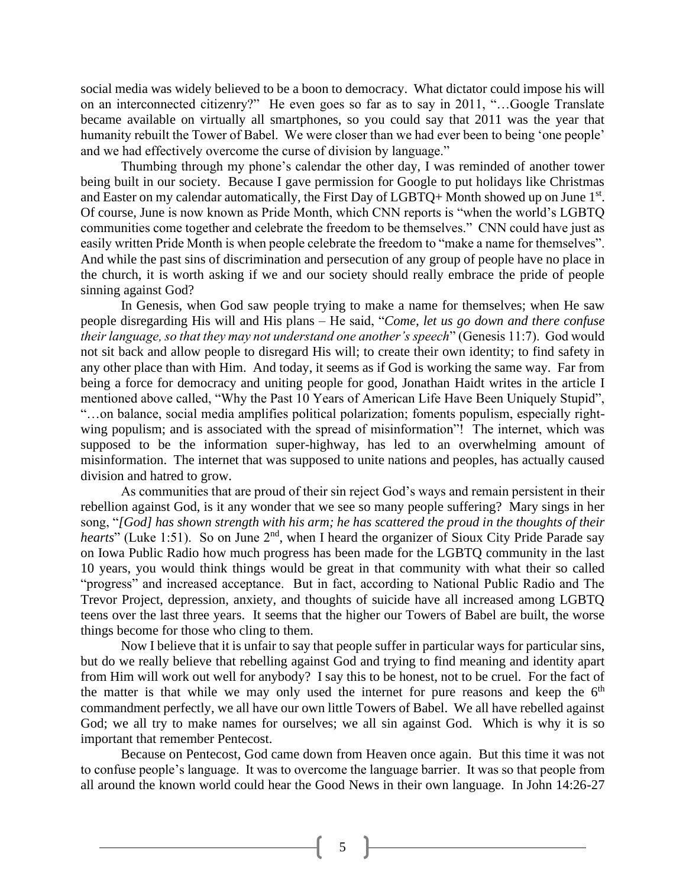social media was widely believed to be a boon to democracy. What dictator could impose his will on an interconnected citizenry?" He even goes so far as to say in 2011, "…Google Translate became available on virtually all smartphones, so you could say that 2011 was the year that humanity rebuilt the Tower of Babel. We were closer than we had ever been to being 'one people' and we had effectively overcome the curse of division by language."

Thumbing through my phone's calendar the other day, I was reminded of another tower being built in our society. Because I gave permission for Google to put holidays like Christmas and Easter on my calendar automatically, the First Day of  $LGBTQ+$  Month showed up on June  $1<sup>st</sup>$ . Of course, June is now known as Pride Month, which CNN reports is "when the world's LGBTQ communities come together and celebrate the freedom to be themselves." CNN could have just as easily written Pride Month is when people celebrate the freedom to "make a name for themselves". And while the past sins of discrimination and persecution of any group of people have no place in the church, it is worth asking if we and our society should really embrace the pride of people sinning against God?

In Genesis, when God saw people trying to make a name for themselves; when He saw people disregarding His will and His plans – He said, "*Come, let us go down and there confuse their language, so that they may not understand one another's speech*" (Genesis 11:7). God would not sit back and allow people to disregard His will; to create their own identity; to find safety in any other place than with Him. And today, it seems as if God is working the same way. Far from being a force for democracy and uniting people for good, Jonathan Haidt writes in the article I mentioned above called, "Why the Past 10 Years of American Life Have Been Uniquely Stupid", "…on balance, social media amplifies political polarization; foments populism, especially rightwing populism; and is associated with the spread of misinformation"! The internet, which was supposed to be the information super-highway, has led to an overwhelming amount of misinformation. The internet that was supposed to unite nations and peoples, has actually caused division and hatred to grow.

As communities that are proud of their sin reject God's ways and remain persistent in their rebellion against God, is it any wonder that we see so many people suffering? Mary sings in her song, "*[God] has shown strength with his arm; he has scattered the proud in the thoughts of their hearts*" (Luke 1:51). So on June 2<sup>nd</sup>, when I heard the organizer of Sioux City Pride Parade say on Iowa Public Radio how much progress has been made for the LGBTQ community in the last 10 years, you would think things would be great in that community with what their so called "progress" and increased acceptance. But in fact, according to National Public Radio and The Trevor Project, depression, anxiety, and thoughts of suicide have all increased among LGBTQ teens over the last three years. It seems that the higher our Towers of Babel are built, the worse things become for those who cling to them.

Now I believe that it is unfair to say that people suffer in particular ways for particular sins, but do we really believe that rebelling against God and trying to find meaning and identity apart from Him will work out well for anybody? I say this to be honest, not to be cruel. For the fact of the matter is that while we may only used the internet for pure reasons and keep the  $6<sup>th</sup>$ commandment perfectly, we all have our own little Towers of Babel. We all have rebelled against God; we all try to make names for ourselves; we all sin against God. Which is why it is so important that remember Pentecost.

Because on Pentecost, God came down from Heaven once again. But this time it was not to confuse people's language. It was to overcome the language barrier. It was so that people from all around the known world could hear the Good News in their own language. In John 14:26-27